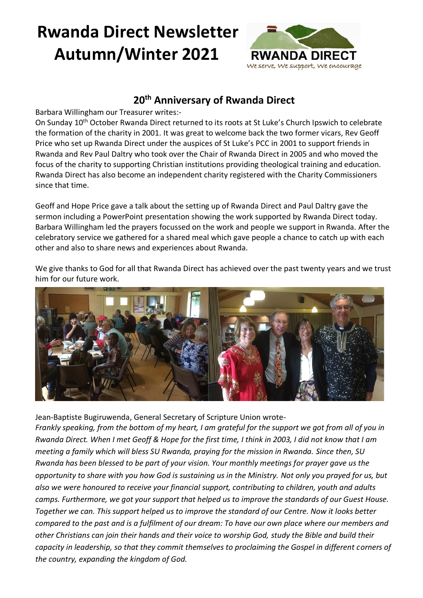# **Rwanda Direct Newsletter Autumn/Winter 2021**



### **20th Anniversary of Rwanda Direct**

Barbara Willingham our Treasurer writes:-

On Sunday 10th October Rwanda Direct returned to its roots at St Luke's Church Ipswich to celebrate the formation of the charity in 2001. It was great to welcome back the two former vicars, Rev Geoff Price who set up Rwanda Direct under the auspices of St Luke's PCC in 2001 to support friends in Rwanda and Rev Paul Daltry who took over the Chair of Rwanda Direct in 2005 and who moved the focus of the charity to supporting Christian institutions providing theological training and education. Rwanda Direct has also become an independent charity registered with the Charity Commissioners since that time.

Geoff and Hope Price gave a talk about the setting up of Rwanda Direct and Paul Daltry gave the sermon including a PowerPoint presentation showing the work supported by Rwanda Direct today. Barbara Willingham led the prayers focussed on the work and people we support in Rwanda. After the celebratory service we gathered for a shared meal which gave people a chance to catch up with each other and also to share news and experiences about Rwanda.

We give thanks to God for all that Rwanda Direct has achieved over the past twenty years and we trust him for our future work.



Jean-Baptiste Bugiruwenda, General Secretary of Scripture Union wrote-*Frankly speaking, from the bottom of my heart, I am grateful for the support we got from all of you in Rwanda Direct. When I met Geoff & Hope for the first time, I think in 2003, I did not know that I am meeting a family which will bless SU Rwanda, praying for the mission in Rwanda. Since then, SU Rwanda has been blessed to be part of your vision. Your monthly meetings for prayer gave us the opportunity to share with you how God is sustaining us in the Ministry. Not only you prayed for us, but also we were honoured to receive your financial support, contributing to children, youth and adults camps. Furthermore, we got your support that helped us to improve the standards of our Guest House. Together we can. This support helped us to improve the standard of our Centre. Now it looks better compared to the past and is a fulfilment of our dream: To have our own place where our members and other Christians can join their hands and their voice to worship God, study the Bible and build their capacity in leadership, so that they commit themselves to proclaiming the Gospel in different corners of the country, expanding the kingdom of God.*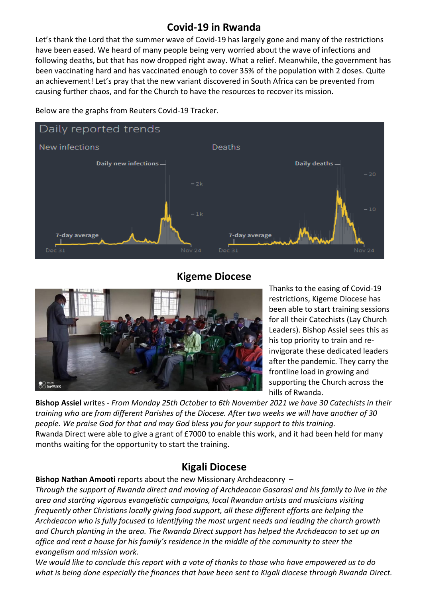## **Covid-19 in Rwanda**

Let's thank the Lord that the summer wave of Covid-19 has largely gone and many of the restrictions have been eased. We heard of many people being very worried about the wave of infections and following deaths, but that has now dropped right away. What a relief. Meanwhile, the government has been vaccinating hard and has vaccinated enough to cover 35% of the population with 2 doses. Quite an achievement! Let's pray that the new variant discovered in South Africa can be prevented from causing further chaos, and for the Church to have the resources to recover its mission.



Below are the graphs from Reuters Covid-19 Tracker.

#### **Kigeme Diocese**



Thanks to the easing of Covid-19 restrictions, Kigeme Diocese has been able to start training sessions for all their Catechists (Lay Church Leaders). Bishop Assiel sees this as his top priority to train and reinvigorate these dedicated leaders after the pandemic. They carry the frontline load in growing and supporting the Church across the hills of Rwanda.

**Bishop Assiel** writes - *From Monday 25th October to 6th November 2021 we have 30 Catechists in their training who are from different Parishes of the Diocese. After two weeks we will have another of 30 people. We praise God for that and may God bless you for your support to this training.* Rwanda Direct were able to give a grant of £7000 to enable this work, and it had been held for many months waiting for the opportunity to start the training.

#### **Kigali Diocese**

#### **Bishop Nathan Amooti** reports about the new Missionary Archdeaconry –

*Through the support of Rwanda direct and moving of Archdeacon Gasarasi and his family to live in the area and starting vigorous evangelistic campaigns, local Rwandan artists and musicians visiting frequently other Christians locally giving food support, all these different efforts are helping the Archdeacon who is fully focused to identifying the most urgent needs and leading the church growth and Church planting in the area. The Rwanda Direct support has helped the Archdeacon to set up an office and rent a house for his family's residence in the middle of the community to steer the evangelism and mission work.* 

*We would like to conclude this report with a vote of thanks to those who have empowered us to do what is being done especially the finances that have been sent to Kigali diocese through Rwanda Direct.*